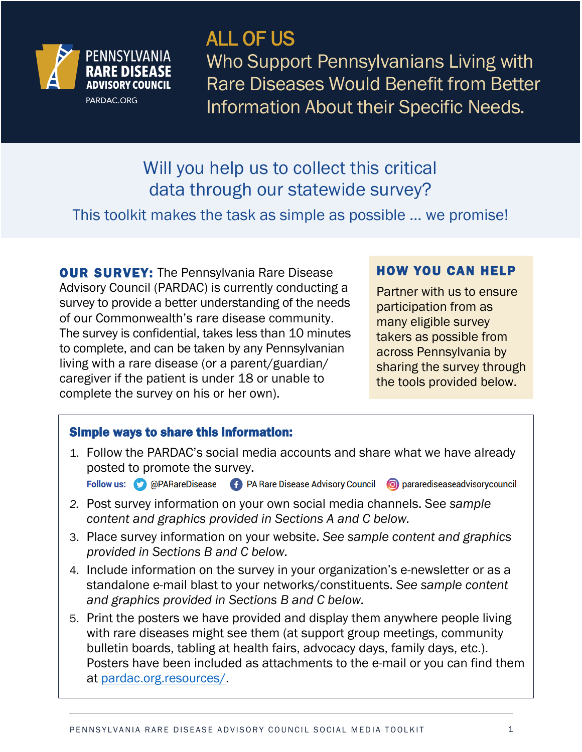

## ALL OF US

Who Support Pennsylvanians Living with Rare Diseases Would Benefit from Better Information About their Specific Needs.

## Will you help us to collect this critical data through our statewide survey?

This toolkit makes the task as simple as possible … we promise!

**OUR SURVEY:** The Pennsylvania Rare Disease Advisory Council (PARDAC) is currently conducting a survey to provide a better understanding of the needs of our Commonwealth's rare disease community. The survey is confidential, takes less than 10 minutes to complete, and can be taken by any Pennsylvanian living with a rare disease (or a parent/guardian/ caregiver if the patient is under 18 or unable to complete the survey on his or her own).

#### HOW YOU CAN HELP

Partner with us to ensure participation from as many eligible survey takers as possible from across Pennsylvania by sharing the survey through the tools provided below.

#### Simple ways to share this information:

1. Follow the PARDAC's social media accounts and share what we have already posted to promote the survey.

(F) PA Rare Disease Advisory Council (C) pararediseaseadvisory council Follow us: @ @PARareDisease

- *2.* Post survey information on your own social media channels. See *sample content and graphics provided in Sections A and C below.*
- 3. Place survey information on your website. *See sample content and graphics provided in Sections B and C below.*
- 4. Include information on the survey in your organization's e-newsletter or as a standalone e-mail blast to your networks/constituents. *See sample content and graphics provided in Sections B and C below.*
- 5. Print the posters we have provided and display them anywhere people living with rare diseases might see them (at support group meetings, community bulletin boards, tabling at health fairs, advocacy days, family days, etc.). Posters have been included as attachments to the e-mail or you can find them at [pardac.org.resources/.](https://pardac.org.resources/)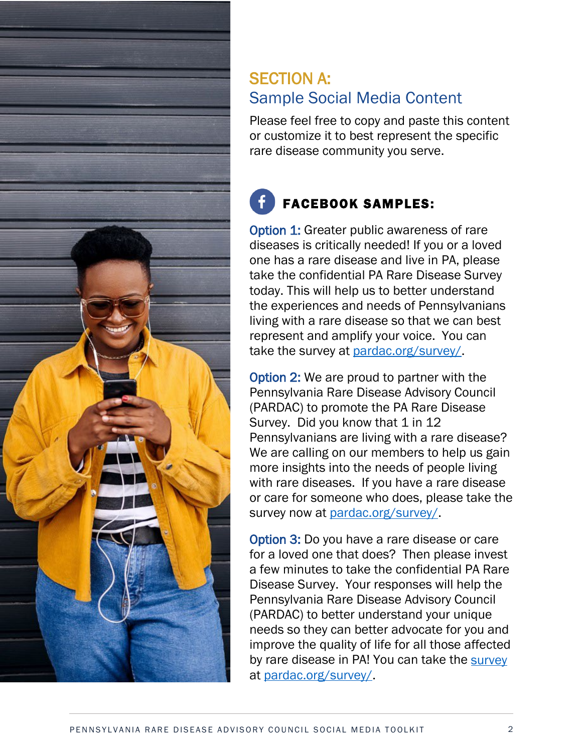

#### SECTION A: Sample Social Media Content

Please feel free to copy and paste this content or customize it to best represent the specific rare disease community you serve.

### FACEBOOK SAMPLES:

**Option 1: Greater public awareness of rare** diseases is critically needed! If you or a loved one has a rare disease and live in PA, please take the confidential PA Rare Disease Survey today. This will help us to better understand the experiences and needs of Pennsylvanians living with a rare disease so that we can best represent and amplify your voice. You can take the survey at [pardac.org/survey/.](http://pardac.org/survey/)

Option 2: We are proud to partner with the Pennsylvania Rare Disease Advisory Council (PARDAC) to promote the PA Rare Disease Survey. Did you know that 1 in 12 Pennsylvanians are living with a rare disease? We are calling on our members to help us gain more insights into the needs of people living with rare diseases. If you have a rare disease or care for someone who does, please take the survey now at [pardac.org/survey/.](http://pardac.org/survey/)

Option 3: Do you have a rare disease or care for a loved one that does? Then please invest a few minutes to take the confidential PA Rare Disease Survey. Your responses will help the Pennsylvania Rare Disease Advisory Council (PARDAC) to better understand your unique needs so they can better advocate for you and improve the quality of life for all those affected by rare disease in PA! You can take the [survey](https://pardac.org/survey/) at [pardac.org/survey/.](http://pardac.org/survey/)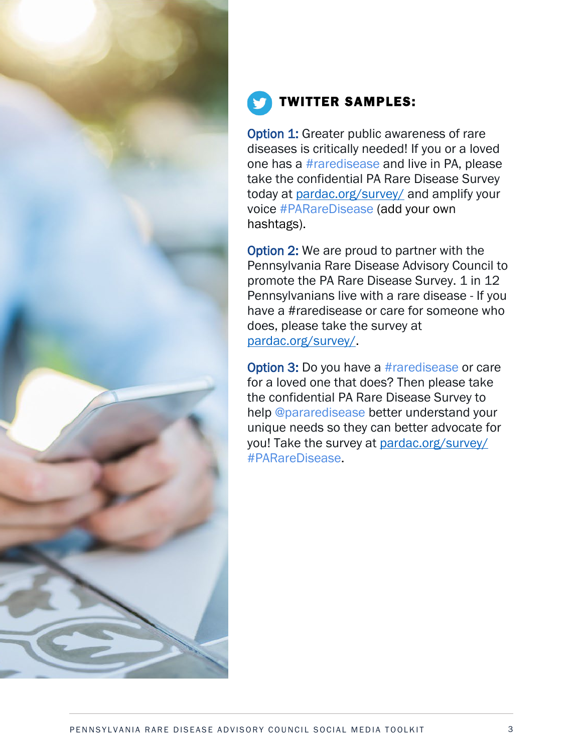

### TWITTER SAMPLES:

**Option 1: Greater public awareness of rare** diseases is critically needed! If you or a loved one has a #raredisease and live in PA, please take the confidential PA Rare Disease Survey today at [pardac.org/survey/](http://pardac.org/survey/) and amplify your voice #PARareDisease (add your own hashtags).

Option 2: We are proud to partner with the Pennsylvania Rare Disease Advisory Council to promote the PA Rare Disease Survey. 1 in 12 Pennsylvanians live with a rare disease - If you have a #raredisease or care for someone who does, please take the survey at pardac.org/survey/

Option 3: Do you have a #raredisease or care for a loved one that does? Then please take the confidential PA Rare Disease Survey to help @pararedisease better understand your unique needs so they can better advocate for you! Take the survey at [pardac.org/survey/](http://pardac.org/survey/) #PARareDisease.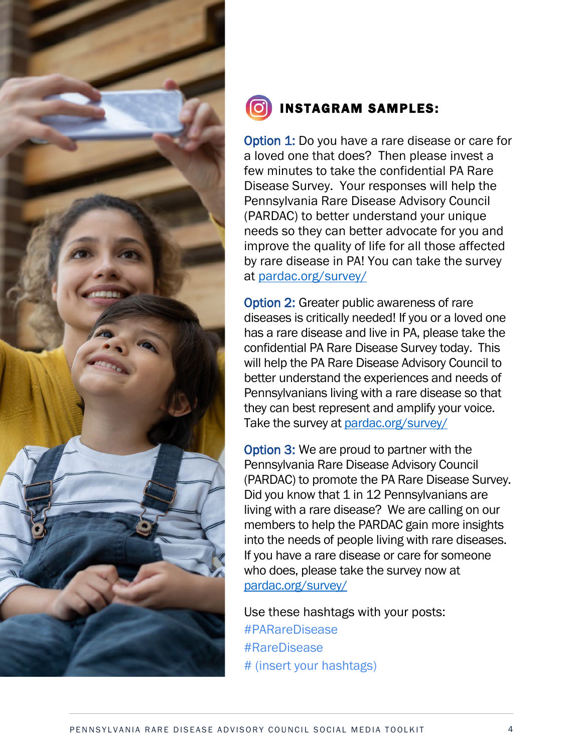

#### INSTAGRAM SAMPLES:

**Option 1:** Do you have a rare disease or care for a loved one that does? Then please invest a few minutes to take the confidential PA Rare Disease Survey. Your responses will help the Pennsylvania Rare Disease Advisory Council (PARDAC) to better understand your unique needs so they can better advocate for you and improve the quality of life for all those affected by rare disease in PA! You can take the survey at [pardac.org/survey/](http://pardac.org/survey/) 

**Option 2: Greater public awareness of rare** diseases is critically needed! If you or a loved one has a rare disease and live in PA, please take the confidential PA Rare Disease Survey today. This will help the PA Rare Disease Advisory Council to better understand the experiences and needs of Pennsylvanians living with a rare disease so that they can best represent and amplify your voice. Take the survey at [pardac.org/survey/](http://pardac.org/survey/) 

Option 3: We are proud to partner with the Pennsylvania Rare Disease Advisory Council (PARDAC) to promote the PA Rare Disease Survey. Did you know that 1 in 12 Pennsylvanians are living with a rare disease? We are calling on our members to help the PARDAC gain more insights into the needs of people living with rare diseases. If you have a rare disease or care for someone who does, please take the survey now at [pardac.org/survey/](http://pardac.org/survey/)

Use these hashtags with your posts: #PARareDisease #RareDisease # (insert your hashtags)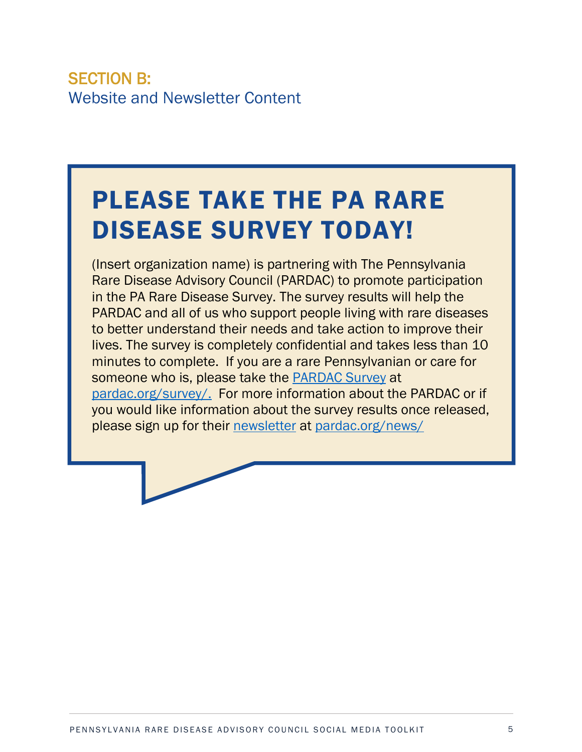#### SECTION B: Website and Newsletter Content

## PLEASE TAKE THE PA RARE DISEASE SURVEY TODAY!

(Insert organization name) is partnering with The Pennsylvania Rare Disease Advisory Council (PARDAC) to promote participation in the PA Rare Disease Survey. The survey results will help the PARDAC and all of us who support people living with rare diseases to better understand their needs and take action to improve their lives. The survey is completely confidential and takes less than 10 minutes to complete. If you are a rare Pennsylvanian or care for someone who is, please take the [PARDAC Survey](https://pardac.org/survey/) at [pardac.org/survey/.](https://pardac.org/survey/) For more information about the PARDAC or if you would like information about the survey results once released, please sign up for their [newsletter](https://pardac.org/news/) at [pardac.org/news/](https://pardac.org/news/)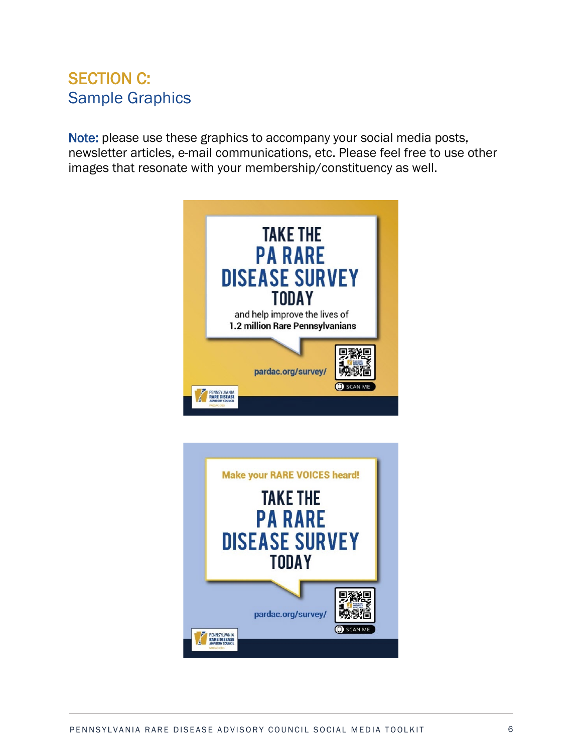#### SECTION C: Sample Graphics

Note: please use these graphics to accompany your social media posts, newsletter articles, e-mail communications, etc. Please feel free to use other images that resonate with your membership/constituency as well.



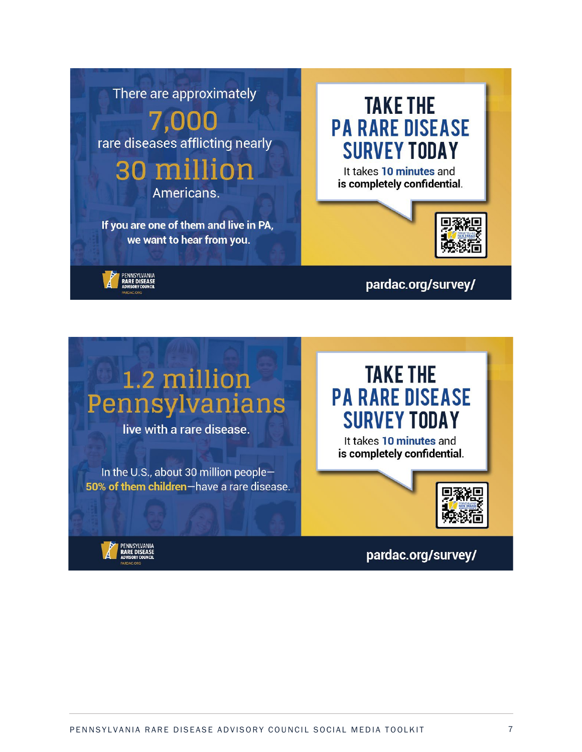

# 1.2 million Pennsylvanians

live with a rare disease.

In the U.S., about 30 million people-50% of them children-have a rare disease.

## **TAKE THE PA RARE DISEASE SURVEY TODAY**

It takes 10 minutes and is completely confidential.



PENNSYLVANIA<br>RARE DISEASE

pardac.org/survey/